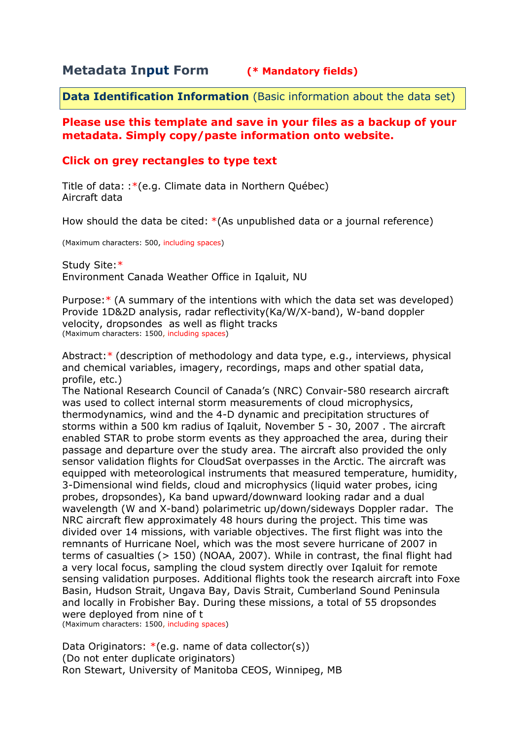# **Metadata Input Form (\* Mandatory fields)**

**Data Identification Information** (Basic information about the data set)

## **Please use this template and save in your files as a backup of your metadata. Simply copy/paste information onto website.**

# **Click on grey rectangles to type text**

Title of data: :\*(e.g. Climate data in Northern Québec) Aircraft data

How should the data be cited: \*(As unpublished data or a journal reference)

(Maximum characters: 500, including spaces)

Study Site:\* Environment Canada Weather Office in Iqaluit, NU

Purpose:\* (A summary of the intentions with which the data set was developed) Provide 1D&2D analysis, radar reflectivity(Ka/W/X-band), W-band doppler velocity, dropsondes as well as flight tracks (Maximum characters: 1500, including spaces)

Abstract:\* (description of methodology and data type, e.g., interviews, physical and chemical variables, imagery, recordings, maps and other spatial data, profile, etc.)

The National Research Council of Canada's (NRC) Convair-580 research aircraft was used to collect internal storm measurements of cloud microphysics, thermodynamics, wind and the 4-D dynamic and precipitation structures of storms within a 500 km radius of Iqaluit, November 5 - 30, 2007 . The aircraft enabled STAR to probe storm events as they approached the area, during their passage and departure over the study area. The aircraft also provided the only sensor validation flights for CloudSat overpasses in the Arctic. The aircraft was equipped with meteorological instruments that measured temperature, humidity, 3-Dimensional wind fields, cloud and microphysics (liquid water probes, icing probes, dropsondes), Ka band upward/downward looking radar and a dual wavelength (W and X-band) polarimetric up/down/sideways Doppler radar. The NRC aircraft flew approximately 48 hours during the project. This time was divided over 14 missions, with variable objectives. The first flight was into the remnants of Hurricane Noel, which was the most severe hurricane of 2007 in terms of casualties (> 150) (NOAA, 2007). While in contrast, the final flight had a very local focus, sampling the cloud system directly over Iqaluit for remote sensing validation purposes. Additional flights took the research aircraft into Foxe Basin, Hudson Strait, Ungava Bay, Davis Strait, Cumberland Sound Peninsula and locally in Frobisher Bay. During these missions, a total of 55 dropsondes were deployed from nine of t

(Maximum characters: 1500, including spaces)

Data Originators:  $*(e.q.$  name of data collector(s)) (Do not enter duplicate originators) Ron Stewart, University of Manitoba CEOS, Winnipeg, MB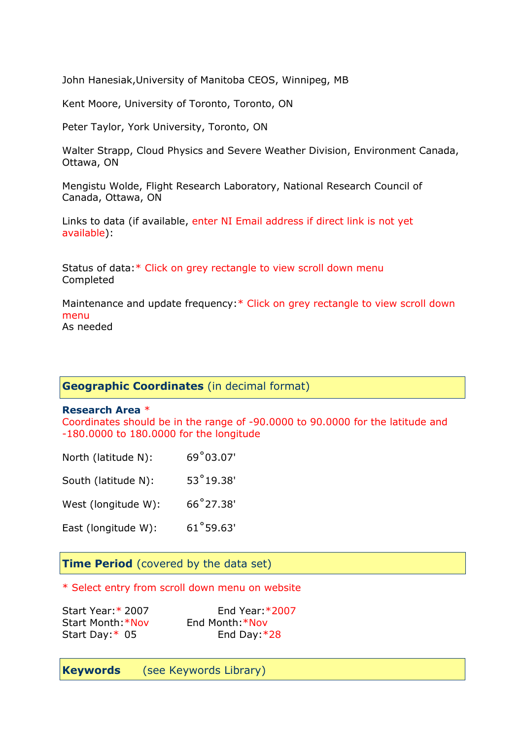John Hanesiak,University of Manitoba CEOS, Winnipeg, MB

Kent Moore, University of Toronto, Toronto, ON

Peter Taylor, York University, Toronto, ON

Walter Strapp, Cloud Physics and Severe Weather Division, Environment Canada, Ottawa, ON

Mengistu Wolde, Flight Research Laboratory, National Research Council of Canada, Ottawa, ON

Links to data (if available, enter NI Email address if direct link is not yet available):

Status of data:\* Click on grey rectangle to view scroll down menu Completed

Maintenance and update frequency:\* Click on grey rectangle to view scroll down menu As needed

## **Geographic Coordinates** (in decimal format)

#### **Research Area** \*

Coordinates should be in the range of -90.0000 to 90.0000 for the latitude and -180.0000 to 180.0000 for the longitude

| North (latitude N): | 69°03.07'          |
|---------------------|--------------------|
| South (latitude N): | $53^{\circ}19.38'$ |
| West (longitude W): | 66°27.38'          |

East (longitude W): 61˚59.63'

### **Time Period** (covered by the data set)

### \* Select entry from scroll down menu on website

| Start Year: * 2007 |  |
|--------------------|--|
| Start Month: *Nov  |  |
| Start Day:* 05     |  |

End Year: \* 2007 End Month:\*Nov End Day: $*28$ 

**Keywords** (see Keywords Library)